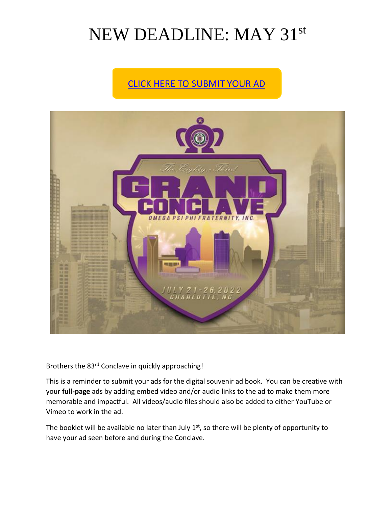## NEW DEADLINE: MAY 31st

## **CLICK HERE TO SUBMIT YOUR AD**



Brothers the 83rd Conclave in quickly approaching!

This is a reminder to submit your ads for the digital souvenir ad book. You can be creative with your **full-page** ads by adding embed video and/or audio links to the ad to make them more memorable and impactful. All videos/audio files should also be added to either YouTube or Vimeo to work in the ad.

The booklet will be available no later than July  $1<sup>st</sup>$ , so there will be plenty of opportunity to have your ad seen before and during the Conclave.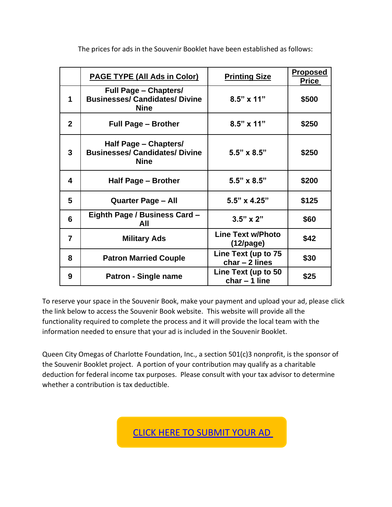|                | <b>PAGE TYPE (All Ads in Color)</b>                                                  | <b>Printing Size</b>                     | <u>Proposed</u><br><b>Price</b> |
|----------------|--------------------------------------------------------------------------------------|------------------------------------------|---------------------------------|
| 1              | <b>Full Page – Chapters/</b><br><b>Businesses/ Candidates/ Divine</b><br><b>Nine</b> | $8.5" \times 11"$                        | \$500                           |
| 2 <sup>1</sup> | <b>Full Page - Brother</b>                                                           | $8.5" \times 11"$                        | \$250                           |
| 3              | Half Page - Chapters/<br><b>Businesses/ Candidates/ Divine</b><br><b>Nine</b>        | $5.5" \times 8.5"$                       | \$250                           |
| 4              | Half Page - Brother                                                                  | $5.5" \times 8.5"$                       | \$200                           |
| 5              | <b>Quarter Page - All</b>                                                            | 5.5" x 4.25"                             | \$125                           |
| 6              | Eighth Page / Business Card -<br>All                                                 | $3.5" \times 2"$                         | \$60                            |
| $\overline{7}$ | <b>Military Ads</b>                                                                  | <b>Line Text w/Photo</b><br>$(12$ /page) | \$42                            |
| 8              | <b>Patron Married Couple</b>                                                         | Line Text (up to 75<br>$char - 2 lines$  | \$30                            |
| 9              | Patron - Single name                                                                 | Line Text (up to 50<br>$char - 1 line$   | \$25                            |

The prices for ads in the Souvenir Booklet have been established as follows:

To reserve your space in the Souvenir Book, make your payment and upload your ad, please click the link below to access the Souvenir Book website. This website will provide all the functionality required to complete the process and it will provide the local team with the information needed to ensure that your ad is included in the Souvenir Booklet.

Queen City Omegas of Charlotte Foundation, Inc., a section 501(c)3 nonprofit, is the sponsor of the Souvenir Booklet project. A portion of your contribution may qualify as a charitable deduction for federal income tax purposes. Please consult with your tax advisor to determine whether a contribution is tax deductible.

[CLICK HERE TO SUBMIT YOUR AD](https://charlotte2022.com/shop/)